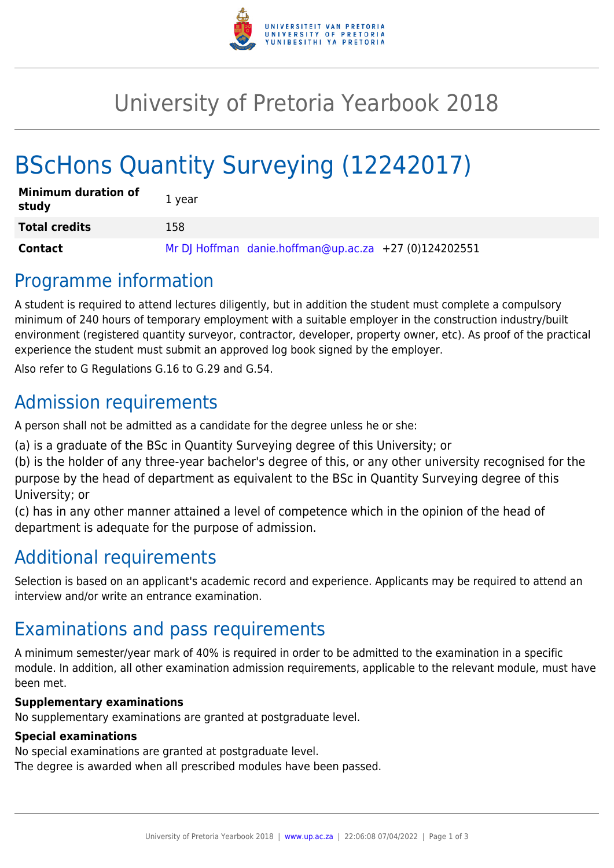

## University of Pretoria Yearbook 2018

# BScHons Quantity Surveying (12242017)

| <b>Minimum duration of</b><br>study | 1 year                                                |
|-------------------------------------|-------------------------------------------------------|
| <b>Total credits</b>                | 158                                                   |
| Contact                             | Mr DJ Hoffman danie.hoffman@up.ac.za +27 (0)124202551 |

### Programme information

A student is required to attend lectures diligently, but in addition the student must complete a compulsory minimum of 240 hours of temporary employment with a suitable employer in the construction industry/built environment (registered quantity surveyor, contractor, developer, property owner, etc). As proof of the practical experience the student must submit an approved log book signed by the employer.

Also refer to G Regulations G.16 to G.29 and G.54.

## Admission requirements

A person shall not be admitted as a candidate for the degree unless he or she:

(a) is a graduate of the BSc in Quantity Surveying degree of this University; or

(b) is the holder of any three-year bachelor's degree of this, or any other university recognised for the purpose by the head of department as equivalent to the BSc in Quantity Surveying degree of this University; or

(c) has in any other manner attained a level of competence which in the opinion of the head of department is adequate for the purpose of admission.

### Additional requirements

Selection is based on an applicant's academic record and experience. Applicants may be required to attend an interview and/or write an entrance examination.

### Examinations and pass requirements

A minimum semester/year mark of 40% is required in order to be admitted to the examination in a specific module. In addition, all other examination admission requirements, applicable to the relevant module, must have been met.

#### **Supplementary examinations**

No supplementary examinations are granted at postgraduate level.

#### **Special examinations**

No special examinations are granted at postgraduate level.

The degree is awarded when all prescribed modules have been passed.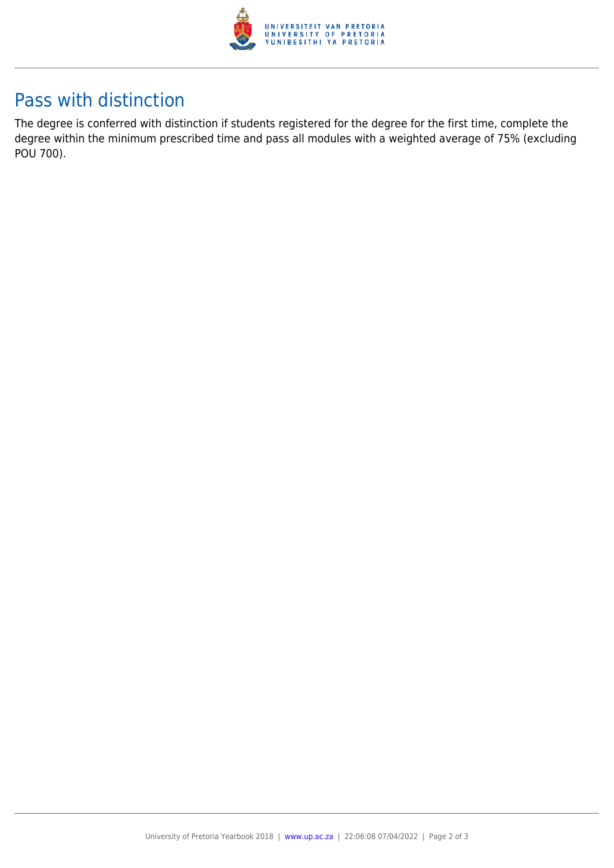

### Pass with distinction

The degree is conferred with distinction if students registered for the degree for the first time, complete the degree within the minimum prescribed time and pass all modules with a weighted average of 75% (excluding POU 700).